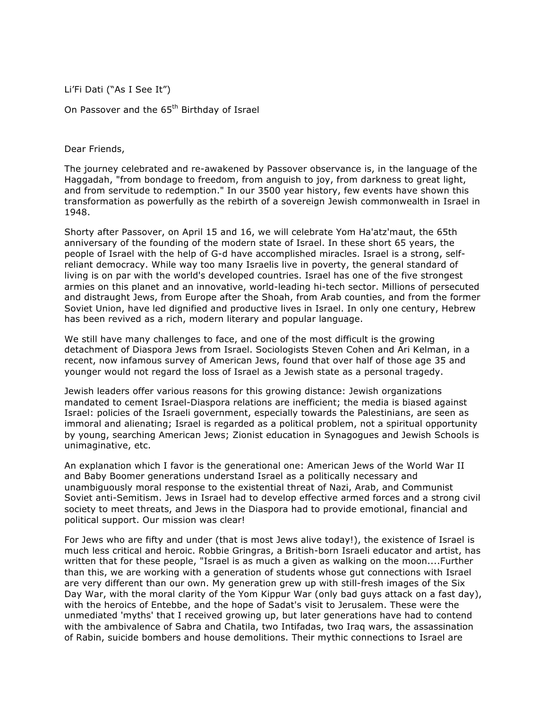Li'Fi Dati ("As I See It")

On Passover and the 65<sup>th</sup> Birthday of Israel

Dear Friends,

The journey celebrated and re-awakened by Passover observance is, in the language of the Haggadah, "from bondage to freedom, from anguish to joy, from darkness to great light, and from servitude to redemption." In our 3500 year history, few events have shown this transformation as powerfully as the rebirth of a sovereign Jewish commonwealth in Israel in 1948.

Shorty after Passover, on April 15 and 16, we will celebrate Yom Ha'atz'maut, the 65th anniversary of the founding of the modern state of Israel. In these short 65 years, the people of Israel with the help of G-d have accomplished miracles. Israel is a strong, selfreliant democracy. While way too many Israelis live in poverty, the general standard of living is on par with the world's developed countries. Israel has one of the five strongest armies on this planet and an innovative, world-leading hi-tech sector. Millions of persecuted and distraught Jews, from Europe after the Shoah, from Arab counties, and from the former Soviet Union, have led dignified and productive lives in Israel. In only one century, Hebrew has been revived as a rich, modern literary and popular language.

We still have many challenges to face, and one of the most difficult is the growing detachment of Diaspora Jews from Israel. Sociologists Steven Cohen and Ari Kelman, in a recent, now infamous survey of American Jews, found that over half of those age 35 and younger would not regard the loss of Israel as a Jewish state as a personal tragedy.

Jewish leaders offer various reasons for this growing distance: Jewish organizations mandated to cement Israel-Diaspora relations are inefficient; the media is biased against Israel: policies of the Israeli government, especially towards the Palestinians, are seen as immoral and alienating; Israel is regarded as a political problem, not a spiritual opportunity by young, searching American Jews; Zionist education in Synagogues and Jewish Schools is unimaginative, etc.

An explanation which I favor is the generational one: American Jews of the World War II and Baby Boomer generations understand Israel as a politically necessary and unambiguously moral response to the existential threat of Nazi, Arab, and Communist Soviet anti-Semitism. Jews in Israel had to develop effective armed forces and a strong civil society to meet threats, and Jews in the Diaspora had to provide emotional, financial and political support. Our mission was clear!

For Jews who are fifty and under (that is most Jews alive today!), the existence of Israel is much less critical and heroic. Robbie Gringras, a British-born Israeli educator and artist, has written that for these people, "Israel is as much a given as walking on the moon....Further than this, we are working with a generation of students whose gut connections with Israel are very different than our own. My generation grew up with still-fresh images of the Six Day War, with the moral clarity of the Yom Kippur War (only bad guys attack on a fast day), with the heroics of Entebbe, and the hope of Sadat's visit to Jerusalem. These were the unmediated 'myths' that I received growing up, but later generations have had to contend with the ambivalence of Sabra and Chatila, two Intifadas, two Iraq wars, the assassination of Rabin, suicide bombers and house demolitions. Their mythic connections to Israel are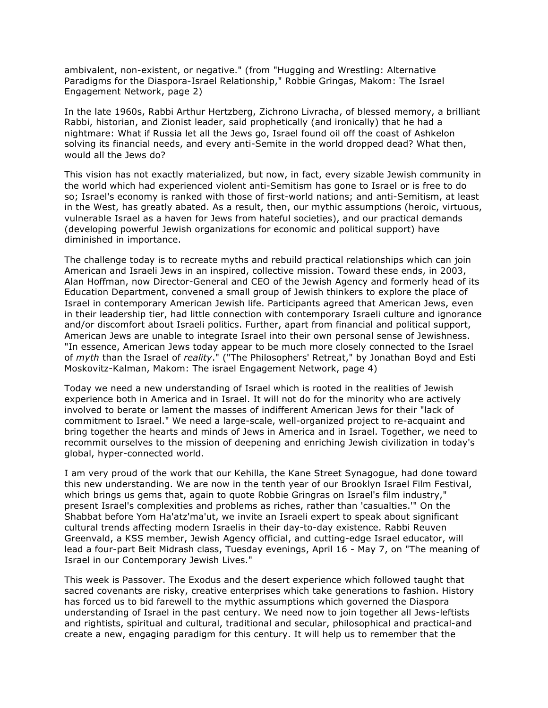ambivalent, non-existent, or negative." (from "Hugging and Wrestling: Alternative Paradigms for the Diaspora-Israel Relationship," Robbie Gringas, Makom: The Israel Engagement Network, page 2)

In the late 1960s, Rabbi Arthur Hertzberg, Zichrono Livracha, of blessed memory, a brilliant Rabbi, historian, and Zionist leader, said prophetically (and ironically) that he had a nightmare: What if Russia let all the Jews go, Israel found oil off the coast of Ashkelon solving its financial needs, and every anti-Semite in the world dropped dead? What then, would all the Jews do?

This vision has not exactly materialized, but now, in fact, every sizable Jewish community in the world which had experienced violent anti-Semitism has gone to Israel or is free to do so; Israel's economy is ranked with those of first-world nations; and anti-Semitism, at least in the West, has greatly abated. As a result, then, our mythic assumptions (heroic, virtuous, vulnerable Israel as a haven for Jews from hateful societies), and our practical demands (developing powerful Jewish organizations for economic and political support) have diminished in importance.

The challenge today is to recreate myths and rebuild practical relationships which can join American and Israeli Jews in an inspired, collective mission. Toward these ends, in 2003, Alan Hoffman, now Director-General and CEO of the Jewish Agency and formerly head of its Education Department, convened a small group of Jewish thinkers to explore the place of Israel in contemporary American Jewish life. Participants agreed that American Jews, even in their leadership tier, had little connection with contemporary Israeli culture and ignorance and/or discomfort about Israeli politics. Further, apart from financial and political support, American Jews are unable to integrate Israel into their own personal sense of Jewishness. "In essence, American Jews today appear to be much more closely connected to the Israel of *myth* than the Israel of *reality*." ("The Philosophers' Retreat," by Jonathan Boyd and Esti Moskovitz-Kalman, Makom: The israel Engagement Network, page 4)

Today we need a new understanding of Israel which is rooted in the realities of Jewish experience both in America and in Israel. It will not do for the minority who are actively involved to berate or lament the masses of indifferent American Jews for their "lack of commitment to Israel." We need a large-scale, well-organized project to re-acquaint and bring together the hearts and minds of Jews in America and in Israel. Together, we need to recommit ourselves to the mission of deepening and enriching Jewish civilization in today's global, hyper-connected world.

I am very proud of the work that our Kehilla, the Kane Street Synagogue, had done toward this new understanding. We are now in the tenth year of our Brooklyn Israel Film Festival, which brings us gems that, again to quote Robbie Gringras on Israel's film industry," present Israel's complexities and problems as riches, rather than 'casualties.'" On the Shabbat before Yom Ha'atz'ma'ut, we invite an Israeli expert to speak about significant cultural trends affecting modern Israelis in their day-to-day existence. Rabbi Reuven Greenvald, a KSS member, Jewish Agency official, and cutting-edge Israel educator, will lead a four-part Beit Midrash class, Tuesday evenings, April 16 - May 7, on "The meaning of Israel in our Contemporary Jewish Lives."

This week is Passover. The Exodus and the desert experience which followed taught that sacred covenants are risky, creative enterprises which take generations to fashion. History has forced us to bid farewell to the mythic assumptions which governed the Diaspora understanding of Israel in the past century. We need now to join together all Jews-leftists and rightists, spiritual and cultural, traditional and secular, philosophical and practical-and create a new, engaging paradigm for this century. It will help us to remember that the